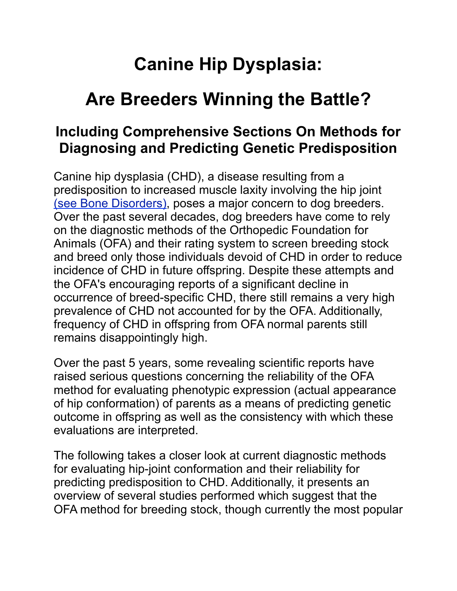# **Canine Hip Dysplasia:**

# **Are Breeders Winning the Battle?**

# **Including Comprehensive Sections On Methods for Diagnosing and Predicting Genetic Predisposition**

Canine hip dysplasia (CHD), a disease resulting from a predisposition to increased muscle laxity involving the hip joint [\(see Bone Disorders\)](http://www.labbies.com/dysplasa.htm), poses a major concern to dog breeders. Over the past several decades, dog breeders have come to rely on the diagnostic methods of the Orthopedic Foundation for Animals (OFA) and their rating system to screen breeding stock and breed only those individuals devoid of CHD in order to reduce incidence of CHD in future offspring. Despite these attempts and the OFA's encouraging reports of a significant decline in occurrence of breed-specific CHD, there still remains a very high prevalence of CHD not accounted for by the OFA. Additionally, frequency of CHD in offspring from OFA normal parents still remains disappointingly high.

Over the past 5 years, some revealing scientific reports have raised serious questions concerning the reliability of the OFA method for evaluating phenotypic expression (actual appearance of hip conformation) of parents as a means of predicting genetic outcome in offspring as well as the consistency with which these evaluations are interpreted.

The following takes a closer look at current diagnostic methods for evaluating hip-joint conformation and their reliability for predicting predisposition to CHD. Additionally, it presents an overview of several studies performed which suggest that the OFA method for breeding stock, though currently the most popular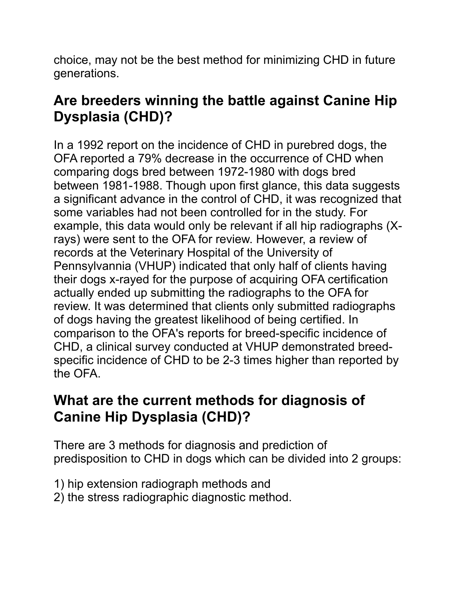choice, may not be the best method for minimizing CHD in future generations.

# **Are breeders winning the battle against Canine Hip Dysplasia (CHD)?**

In a 1992 report on the incidence of CHD in purebred dogs, the OFA reported a 79% decrease in the occurrence of CHD when comparing dogs bred between 1972-1980 with dogs bred between 1981-1988. Though upon first glance, this data suggests a significant advance in the control of CHD, it was recognized that some variables had not been controlled for in the study. For example, this data would only be relevant if all hip radiographs (Xrays) were sent to the OFA for review. However, a review of records at the Veterinary Hospital of the University of Pennsylvannia (VHUP) indicated that only half of clients having their dogs x-rayed for the purpose of acquiring OFA certification actually ended up submitting the radiographs to the OFA for review. It was determined that clients only submitted radiographs of dogs having the greatest likelihood of being certified. In comparison to the OFA's reports for breed-specific incidence of CHD, a clinical survey conducted at VHUP demonstrated breedspecific incidence of CHD to be 2-3 times higher than reported by the OFA.

# **What are the current methods for diagnosis of Canine Hip Dysplasia (CHD)?**

There are 3 methods for diagnosis and prediction of predisposition to CHD in dogs which can be divided into 2 groups:

- 1) hip extension radiograph methods and
- 2) the stress radiographic diagnostic method.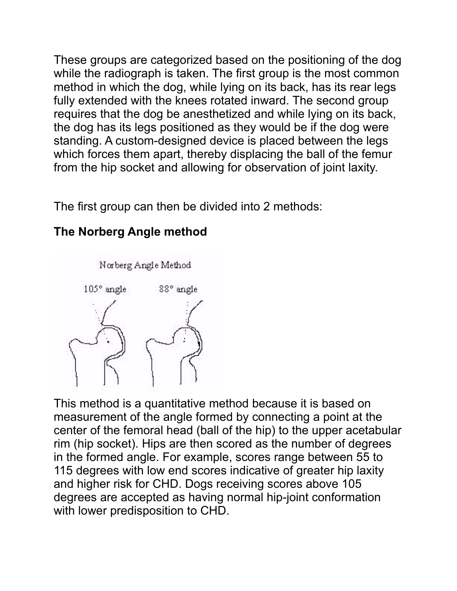These groups are categorized based on the positioning of the dog while the radiograph is taken. The first group is the most common method in which the dog, while lying on its back, has its rear legs fully extended with the knees rotated inward. The second group requires that the dog be anesthetized and while lying on its back, the dog has its legs positioned as they would be if the dog were standing. A custom-designed device is placed between the legs which forces them apart, thereby displacing the ball of the femur from the hip socket and allowing for observation of joint laxity.

The first group can then be divided into 2 methods:



## **The Norberg Angle method**

This method is a quantitative method because it is based on measurement of the angle formed by connecting a point at the center of the femoral head (ball of the hip) to the upper acetabular rim (hip socket). Hips are then scored as the number of degrees in the formed angle. For example, scores range between 55 to 115 degrees with low end scores indicative of greater hip laxity and higher risk for CHD. Dogs receiving scores above 105 degrees are accepted as having normal hip-joint conformation with lower predisposition to CHD.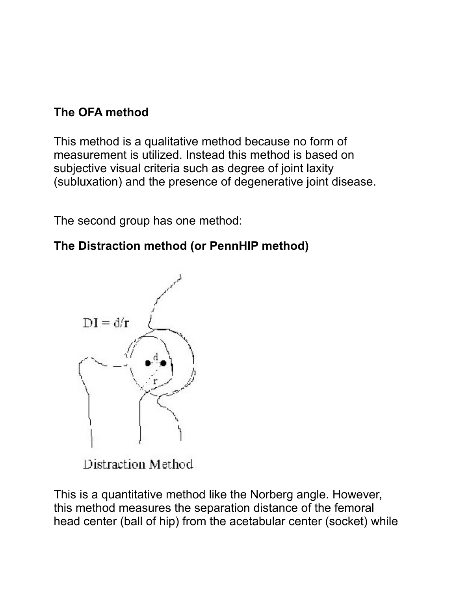### **The OFA method**

This method is a qualitative method because no form of measurement is utilized. Instead this method is based on subjective visual criteria such as degree of joint laxity (subluxation) and the presence of degenerative joint disease.

The second group has one method:

## **The Distraction method (or PennHIP method)**



Distraction Method

This is a quantitative method like the Norberg angle. However, this method measures the separation distance of the femoral head center (ball of hip) from the acetabular center (socket) while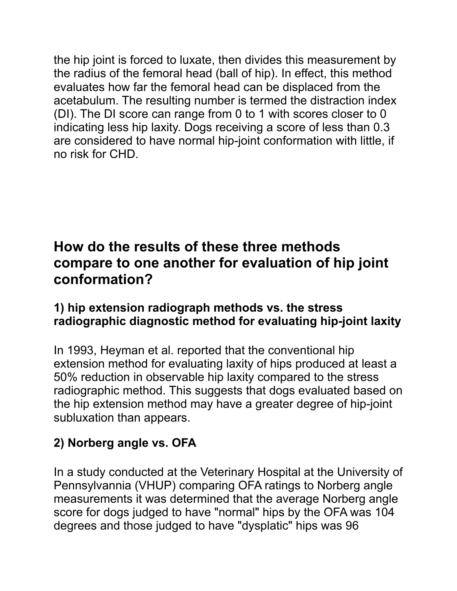the hip joint is forced to luxate, then divides this measurement by the radius of the femoral head (ball of hip). In effect, this method evaluates how far the femoral head can be displaced from the acetabulum. The resulting number is termed the distraction index (DI). The DI score can range from 0 to 1 with scores closer to 0 indicating less hip laxity. Dogs receiving a score of less than 0.3 are considered to have normal hip-joint conformation with little, if no risk for CHD.

## **How do the results of these three methods compare to one another for evaluation of hip joint conformation?**

#### **1) hip extension radiograph methods vs. the stress radiographic diagnostic method for evaluating hip-joint laxity**

In 1993, Heyman et al. reported that the conventional hip extension method for evaluating laxity of hips produced at least a 50% reduction in observable hip laxity compared to the stress radiographic method. This suggests that dogs evaluated based on the hip extension method may have a greater degree of hip-joint subluxation than appears.

## **2) Norberg angle vs. OFA**

In a study conducted at the Veterinary Hospital at the University of Pennsylvannia (VHUP) comparing OFA ratings to Norberg angle measurements it was determined that the average Norberg angle score for dogs judged to have "normal" hips by the OFA was 104 degrees and those judged to have "dysplatic" hips was 96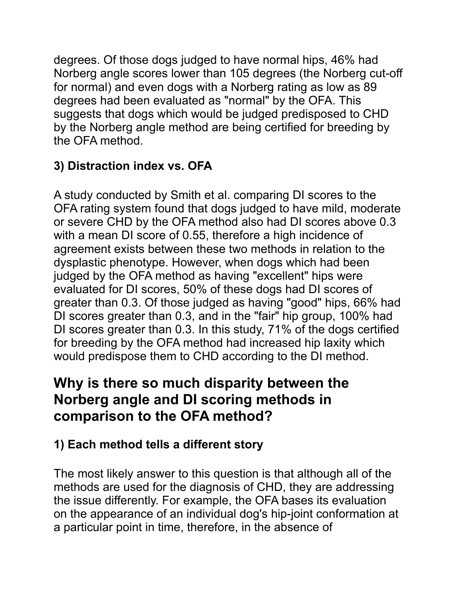degrees. Of those dogs judged to have normal hips, 46% had Norberg angle scores lower than 105 degrees (the Norberg cut-off for normal) and even dogs with a Norberg rating as low as 89 degrees had been evaluated as "normal" by the OFA. This suggests that dogs which would be judged predisposed to CHD by the Norberg angle method are being certified for breeding by the OFA method.

## **3) Distraction index vs. OFA**

A study conducted by Smith et al. comparing DI scores to the OFA rating system found that dogs judged to have mild, moderate or severe CHD by the OFA method also had DI scores above 0.3 with a mean DI score of 0.55, therefore a high incidence of agreement exists between these two methods in relation to the dysplastic phenotype. However, when dogs which had been judged by the OFA method as having "excellent" hips were evaluated for DI scores, 50% of these dogs had DI scores of greater than 0.3. Of those judged as having "good" hips, 66% had DI scores greater than 0.3, and in the "fair" hip group, 100% had DI scores greater than 0.3. In this study, 71% of the dogs certified for breeding by the OFA method had increased hip laxity which would predispose them to CHD according to the DI method.

# **Why is there so much disparity between the Norberg angle and DI scoring methods in comparison to the OFA method?**

## **1) Each method tells a different story**

The most likely answer to this question is that although all of the methods are used for the diagnosis of CHD, they are addressing the issue differently. For example, the OFA bases its evaluation on the appearance of an individual dog's hip-joint conformation at a particular point in time, therefore, in the absence of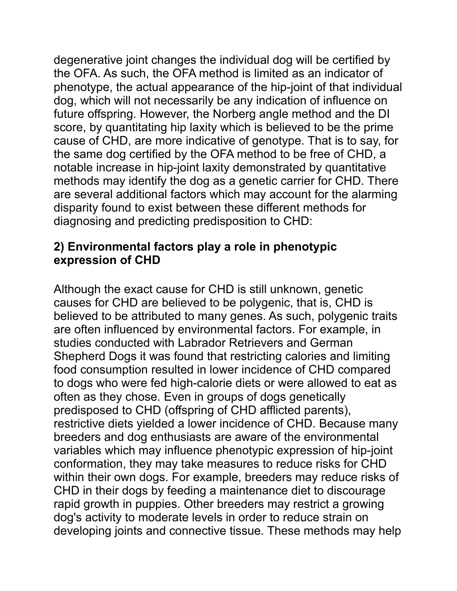degenerative joint changes the individual dog will be certified by the OFA. As such, the OFA method is limited as an indicator of phenotype, the actual appearance of the hip-joint of that individual dog, which will not necessarily be any indication of influence on future offspring. However, the Norberg angle method and the DI score, by quantitating hip laxity which is believed to be the prime cause of CHD, are more indicative of genotype. That is to say, for the same dog certified by the OFA method to be free of CHD, a notable increase in hip-joint laxity demonstrated by quantitative methods may identify the dog as a genetic carrier for CHD. There are several additional factors which may account for the alarming disparity found to exist between these different methods for diagnosing and predicting predisposition to CHD:

#### **2) Environmental factors play a role in phenotypic expression of CHD**

Although the exact cause for CHD is still unknown, genetic causes for CHD are believed to be polygenic, that is, CHD is believed to be attributed to many genes. As such, polygenic traits are often influenced by environmental factors. For example, in studies conducted with Labrador Retrievers and German Shepherd Dogs it was found that restricting calories and limiting food consumption resulted in lower incidence of CHD compared to dogs who were fed high-calorie diets or were allowed to eat as often as they chose. Even in groups of dogs genetically predisposed to CHD (offspring of CHD afflicted parents), restrictive diets yielded a lower incidence of CHD. Because many breeders and dog enthusiasts are aware of the environmental variables which may influence phenotypic expression of hip-joint conformation, they may take measures to reduce risks for CHD within their own dogs. For example, breeders may reduce risks of CHD in their dogs by feeding a maintenance diet to discourage rapid growth in puppies. Other breeders may restrict a growing dog's activity to moderate levels in order to reduce strain on developing joints and connective tissue. These methods may help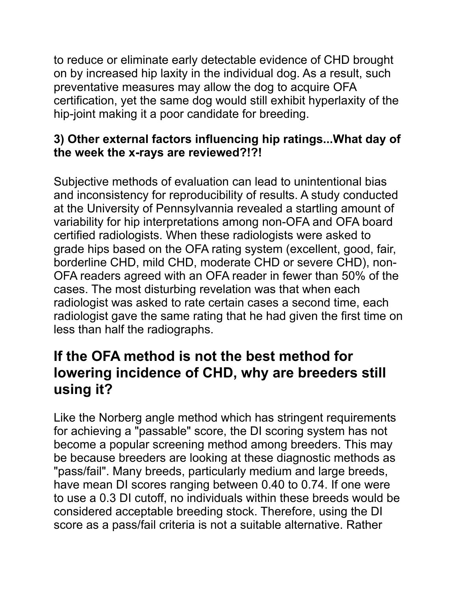to reduce or eliminate early detectable evidence of CHD brought on by increased hip laxity in the individual dog. As a result, such preventative measures may allow the dog to acquire OFA certification, yet the same dog would still exhibit hyperlaxity of the hip-joint making it a poor candidate for breeding.

#### **3) Other external factors influencing hip ratings...What day of the week the x-rays are reviewed?!?!**

Subjective methods of evaluation can lead to unintentional bias and inconsistency for reproducibility of results. A study conducted at the University of Pennsylvannia revealed a startling amount of variability for hip interpretations among non-OFA and OFA board certified radiologists. When these radiologists were asked to grade hips based on the OFA rating system (excellent, good, fair, borderline CHD, mild CHD, moderate CHD or severe CHD), non-OFA readers agreed with an OFA reader in fewer than 50% of the cases. The most disturbing revelation was that when each radiologist was asked to rate certain cases a second time, each radiologist gave the same rating that he had given the first time on less than half the radiographs.

# **If the OFA method is not the best method for lowering incidence of CHD, why are breeders still using it?**

Like the Norberg angle method which has stringent requirements for achieving a "passable" score, the DI scoring system has not become a popular screening method among breeders. This may be because breeders are looking at these diagnostic methods as "pass/fail". Many breeds, particularly medium and large breeds, have mean DI scores ranging between 0.40 to 0.74. If one were to use a 0.3 DI cutoff, no individuals within these breeds would be considered acceptable breeding stock. Therefore, using the DI score as a pass/fail criteria is not a suitable alternative. Rather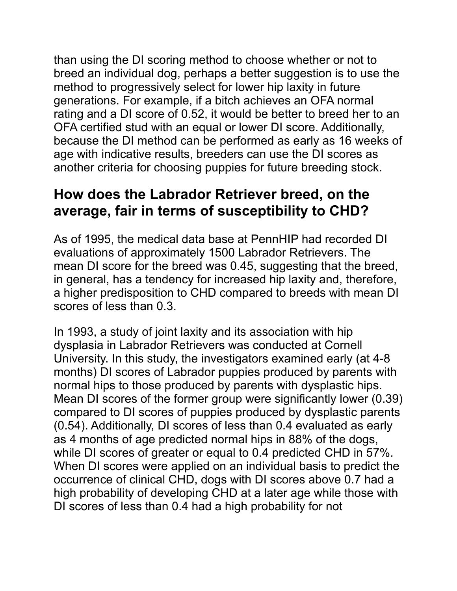than using the DI scoring method to choose whether or not to breed an individual dog, perhaps a better suggestion is to use the method to progressively select for lower hip laxity in future generations. For example, if a bitch achieves an OFA normal rating and a DI score of 0.52, it would be better to breed her to an OFA certified stud with an equal or lower DI score. Additionally, because the DI method can be performed as early as 16 weeks of age with indicative results, breeders can use the DI scores as another criteria for choosing puppies for future breeding stock.

# **How does the Labrador Retriever breed, on the average, fair in terms of susceptibility to CHD?**

As of 1995, the medical data base at PennHIP had recorded DI evaluations of approximately 1500 Labrador Retrievers. The mean DI score for the breed was 0.45, suggesting that the breed, in general, has a tendency for increased hip laxity and, therefore, a higher predisposition to CHD compared to breeds with mean DI scores of less than 0.3.

In 1993, a study of joint laxity and its association with hip dysplasia in Labrador Retrievers was conducted at Cornell University. In this study, the investigators examined early (at 4-8 months) DI scores of Labrador puppies produced by parents with normal hips to those produced by parents with dysplastic hips. Mean DI scores of the former group were significantly lower (0.39) compared to DI scores of puppies produced by dysplastic parents (0.54). Additionally, DI scores of less than 0.4 evaluated as early as 4 months of age predicted normal hips in 88% of the dogs, while DI scores of greater or equal to 0.4 predicted CHD in 57%. When DI scores were applied on an individual basis to predict the occurrence of clinical CHD, dogs with DI scores above 0.7 had a high probability of developing CHD at a later age while those with DI scores of less than 0.4 had a high probability for not